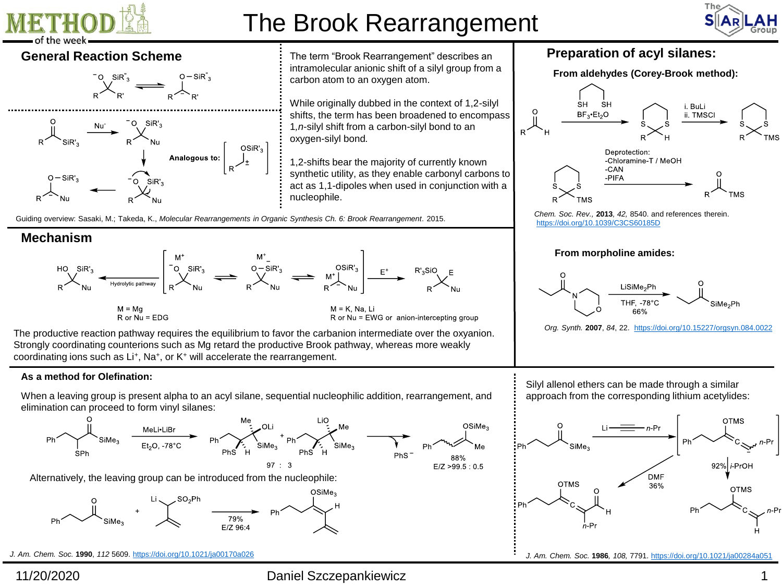

# The Brook Rearrangement









**General Reaction Scheme** The term "Brook Rearrangement" describes an intramolecular anionic shift of a silyl group from a carbon atom to an oxygen atom.

> While originally dubbed in the context of 1,2-silyl shifts, the term has been broadened to encompass 1*,n*-silyl shift from a carbon-silyl bond to an oxygen-silyl bond*.*

> 1,2-shifts bear the majority of currently known synthetic utility, as they enable carbonyl carbons to act as 1,1-dipoles when used in conjunction with a nucleophile.

Guiding overview: Sasaki, M.; Takeda, K., *Molecular Rearrangements in Organic Synthesis Ch. 6: Brook Rearrangement*. 2015.

### **Mechanism**



The productive reaction pathway requires the equilibrium to favor the carbanion intermediate over the oxyanion. Strongly coordinating counterions such as Mg retard the productive Brook pathway, whereas more weakly coordinating ions such as Li<sup>+</sup>, Na<sup>+</sup>, or K<sup>+</sup> will accelerate the rearrangement.

### **As a method for Olefination:**

When a leaving group is present alpha to an acyl silane, sequential nucleophilic addition, rearrangement, and elimination can proceed to form vinyl silanes:



Alternatively, the leaving group can be introduced from the nucleophile:



*J. Am. Chem. Soc.* **1990**, *112* 5609.<https://doi.org/10.1021/ja00170a026>

11/20/2020 Daniel Szczepankiewicz 1

## **Preparation of acyl silanes:**





*Chem. Soc. Rev.,* **2013***, 42,* 8540. and references therein. <https://doi.org/10.1039/C3CS60185D>

### **From morpholine amides:**



*Org. Synth.* **2007**, *84*, 22. <https://doi.org/10.15227/orgsyn.084.0022>

Silyl allenol ethers can be made through a similar approach from the corresponding lithium acetylides:



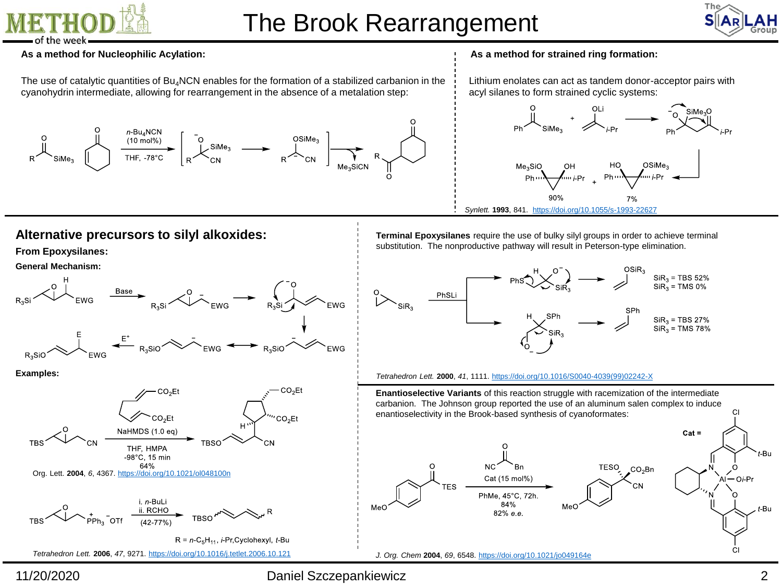

# The Brook Rearrangement



#### **As a method for Nucleophilic Acylation:**

The use of catalytic quantities of  $Bu_4NCN$  enables for the formation of a stabilized carbanion in the cyanohydrin intermediate, allowing for rearrangement in the absence of a metalation step:



#### **As a method for strained ring formation:**

Lithium enolates can act as tandem donor-acceptor pairs with acyl silanes to form strained cyclic systems:



## **Alternative precursors to silyl alkoxides:**

#### **From Epoxysilanes:**

#### **General Mechanism:**



*Tetrahedron Lett.* **2006**, *47*, 9271. <https://doi.org/10.1016/j.tetlet.2006.10.121>

**Terminal Epoxysilanes** require the use of bulky silyl groups in order to achieve terminal substitution. The nonproductive pathway will result in Peterson-type elimination.



#### *Tetrahedron Lett.* **2000**, *41*, 1111. [https://doi.org/10.1016/S0040-4039\(99\)02242-X](https://doi.org/10.1016/S0040-4039(99)02242-X)

**Enantioselective Variants** of this reaction struggle with racemization of the intermediate carbanion. The Johnson group reported the use of an aluminum salen complex to induce enantioselectivity in the Brook-based synthesis of cyanoformates:  $Cat =$ '-Bu **TESO**  $CO<sub>2</sub>$ Bn Cat (15 mol%) PhMe, 45°C, 72h. 84% MeC t-Bu  $82%$  e.e. *J. Org. Chem* **2004**, *69*, 6548. <https://doi.org/10.1021/jo049164e>

## 11/20/2020

## Daniel Szczepankiewicz 2